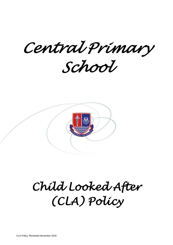*Central Primary* 

*School* 



# *Child Looked After (CLA) Policy*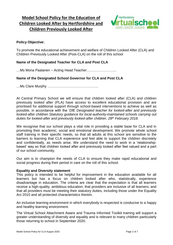# **Model School Policy for the Education of Children Looked After by Hertfordshire and Children Previously Looked After**



# **Policy Objective:**

To promote the educational achievement and welfare of Children Looked After (CLA) and Children Previously Looked After (Post-CLA) on the roll of this school

# **Name of the Designated Teacher for CLA and Post CLA**

…Ms Mona Paalanen – Acting Head Teacher……………………..

# **Name of the Designated School Governor for CLA and Post CLA**

…Ms Clare Murphy ……………………………………..

At Central Primary School we will ensure that children looked after (CLA) and children previously looked after (PLA) have access to excellent educational provision and are prioritised for additional support through school-based interventions to achieve as well as possible, in accordance with the '*DfE Designated teacher for looked-after and previously looked-after children Statutory guidance for local-authority-maintained schools carrying out duties for looked-after and previously looked-after children. 28th February 2018.*

We recognise that our school plays a vital role in providing a stable base for CLA and in promoting their academic, social and emotional development. We promote whole school staff training in their specific needs, so that all adults at this school are sensitive to the barriers to learning that CLA experience and feel able to support the children discretely and confidentially, as needs arise. We understand the need to work in a 'relationshipbased' way so that children looked after and previously looked after feel valued and a part of our school community.

Our aim is to champion the needs of CLA to ensure they make rapid educational and social progress during their period in care on the roll of this school.

#### **Equality and Diversity statement**

This policy is intended to be helpful for improvement in the education available for all learners but has a focus on children looked after who, statistically, experience disadvantage in education. The criteria are clear that the expectation is that all learners receive a high-quality, ambitious education; that providers are inclusive of all learners; and that all providers must be meeting their statutory duties, including those under the Equality Act 2010 and all protected characteristics therein.

An inclusive learning environment in which everybody is respected is conducive to a happy and healthy learning environment.

The Virtual School Attachment Aware and Trauma Informed Toolkit training will support a greater understanding of diversity and equality and is relevant to many children particularly those returning to school in September 2020.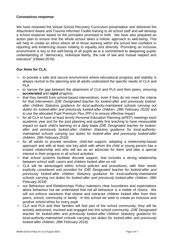#### **Coronavirus response:**

We have reviewed the Virtual School Recovery Curriculum presentation and delivered the Attachment Aware and Trauma Informed Toolkit training to all school staff and will develop a school response based on the principles promoted in both. We have also prepared an action plan to ensure that the whole school takes a holistic approach to well-being. This will help to create an ethos where all of those working within the school feel confident in reporting and evidencing issues relating to equality and diversity. Promoting an inclusive environment is key to the well-being of all pupils as is a commitment to deepening pupils' understanding of "democracy, individual liberty, the rule of law and mutual respect and tolerance" (Ofsted 2019).

# **Our Aims for CLA:**

- to provide a safe and secure environment where educational progress and stability is always central to the planning and all adults understand the specific needs of CLA and PLA
- to narrow the gap between the attainment of CLA and PLA and their peers, ensuring **accelerated** and **rapid** progress
- that they benefit from school-based interventions, even if they do not meet the criteria for that intervention *(DfE Designated teacher for looked-after and previously lookedafter children Statutory guidance for local-authority-maintained schools carrying out*  duties for looked-after and previously looked-after children. 28th February 2018) and to use the allocated Pupil Premium *Plus* (PP+) to ensure effective impact
- for all CLA to have at least termly Personal Education Planning (ePEP) meetings each academic year and for the joint planning and quality first teaching to have measurable impact on each child's learning on a daily basis *(DfE Designated teacher for lookedafter and previously looked-after children Statutory guidance for local-authoritymaintained schools carrying out duties for looked-after and previously looked-after children. 28th February 2018)*
- for all adults to provide sensitive, child-led support, adopting a relationship-based approach and with at least one key adult with whom the child or young person has a trusted relationship and who will act as an advocate for them and take a special interest in their progress in all school activities
- that school systems facilitate discrete support, that includes a strong relationship between school staff, carers and children looked after on roll
- CLA will be advantaged within school policies and procedures, with their needs explicitly considered and provided for *(DfE Designated teacher for looked-after and previously looked-after children Statutory guidance for local-authority-maintained schools carrying out duties for looked-after and previously looked-after children. 28th February 2018)*
- our Behaviour and Relationships Policy maintains clear boundaries and expectations about behaviour but we understand that not all behaviour is a matter of choice. We will not enforce sanctions that shame and ostracise children looked after from their peers, school, community or family. In this school we seek to create an inclusive and positive school ethos for every pupil
- CLA and PLA and their families will feel part of the school community; they will be actively welcomed, involved and engaged into this school community *(DfE Designated teacher for looked-after and previously looked-after children Statutory guidance for local-authority-maintained schools carrying out duties for looked-after and previously looked-after children. 28th February 2018).*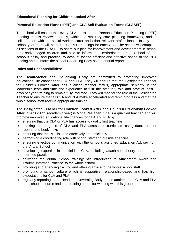# **Educational Planning for Children Looked After**

# **Personal Education Plans (ePEP) and CLA Self Evaluation Forms (CLASEF):**

The school will ensure that every CLA on roll has a Personal Education Planning (ePEP) meeting that is reviewed termly, within the statutory care planning framework, and in collaboration with the social worker, carer and other relevant professionals. In any one school year there will be at least 3 PEP meetings for each CLA. The school will complete all sections of the CLASEF to share our plan for improvement and development in school for disadvantaged children and also to inform the Hertfordshire Virtual School of the school's policy and practice, to account for the efficient and effective spend of the PP+ funding and to inform the school Governing Body as the annual report.

#### **Roles and Responsibilities:**

**The Headteacher and Governing Body** are committed to promoting improved educational life chances for CLA and PLA. They will ensure that the Designated Teacher for Children Looked After has qualified teacher status, appropriate seniority in the leadership team and time and experience to fulfil this statutory role and have at least 2 days per year training to remain fully informed. They will monitor the role of the Designated Teacher to ensure that all CLA and PLA make accelerated and rapid progress and that the whole school staff receive appropriate training.

**The Designated Teacher for Children Looked After and Children Previously Looked After** in 2020-2021 (academic year) is Mona Paalanen. She is a qualified teacher, and will promote improved educational life chances for CLA and PLA by:

- ensuring that the CLA or PLA has access to quality first teaching
- tracking the progress of CLA and PLA across the curriculum using data, teacher reports and book looks
- ensuring that the PP+ is used effectively and efficiently
- performing a coordinating role with school staff and outside agencies
- ensuring effective communication with the school's assigned Education Adviser from the Virtual School
- developing expertise in the field of CLA, including attachment theory and traumainformed practice
- delivering the Virtual School training: 'An introduction to Attachment Aware and Trauma-Informed Practice' to the whole school
- providing and attending training and offering advice to the whole school staff
- promoting a school culture which is supportive, relationship-based and has high expectations for CLA and PLA
- regularly reporting to the Head and Governing Body on the attainment of CLA and PLA and school resource and staff training needs for working with this group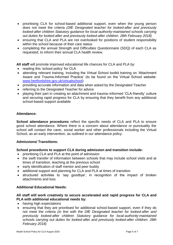- prioritising CLA for school-based additional support, even when the young person does not meet the criteria *(DfE Designated teacher for looked-after and previously looked-after children Statutory guidance for local-authority-maintained schools carrying out duties for looked-after and previously looked-after children. 28th February 2018)*
- ensuring that CLA and PLA are not overlooked for positions of student responsibility within the school because of their care status
- completing the annual Strength and Difficulties Questionnaire (SDQ) of each CLA as requested, to inform their annual CLA health review.

**All staff** will promote improved educational life chances for CLA and PLA by:

- reading this 'school policy' for CLA
- attending relevant training, including the Virtual School toolkit training on 'Attachment' Aware and Trauma-Informed Practice' (to be found on the Virtual School website: [www.hertfordshire.gov.uk/virtualschool\)](http://www.hertfordshire.gov.uk/virtualschool)
- providing accurate information and data when asked by the Designated Teacher
- referring to the Designated Teacher for advice
- playing their part in creating an attachment and trauma–informed 'CLA-friendly' culture and securing rapid progress for CLA by ensuring that they benefit from any additional school-based support available

#### **Attendance:**

**School attendance procedures** reflect the specific needs of CLA and PLA to ensure good school attendance. Where there is a concern about attendance or punctuality the school will contact the carer, social worker and other professionals including the Virtual School, as an early intervention, as outlined in our attendance policy.

# **Admissions/ Transitions:**

#### **School procedures to support CLA during admission and transition include:**

- prioritising CLA and PLA at the point of admission
- the swift transfer of information between schools that may include school visits and at times of transition, teaching at the previous school
- early identification of staff mentor and peer buddy
- additional support and planning for CLA and PLA at times of transition
- structured activities to 'say goodbye', in recognition of the impact of broken attachments and loss

# **Additional Educational Needs:**

# **All staff will work creatively to secure accelerated and rapid progress for CLA and PLA with additional educational needs by:**

- having high expectations
- ensuring that they are prioritised for additional school-based support, even if they do not meet the criteria *(in line with the DfE Designated teacher for looked-after and previously looked-after children Statutory guidance for local-authority-maintained schools carrying out duties for looked-after and previously looked-after children. 28th February 2018)*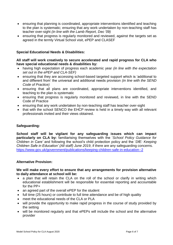- ensuring that planning is coordinated, appropriate interventions identified and teaching to the plan is systematic; ensuring that any work undertaken by non-teaching staff has teacher over-sight *(in line with the Lamb Report, Dec '09)*
- ensuring that progress is regularly monitored and reviewed, against the targets set as agreed in the termly Virtual School visit, ePEP and CLASEF

# **Special Educational Needs & Disabilities:**

#### **All staff will work creatively to secure accelerated and rapid progress for CLA who have special educational needs & disabilities by:**

- having high expectation of progress each academic year *(in line with the expectation set out in the ePEP and CLA-SEF)*
- ensuring that they are accessing school-based targeted support which is 'additional to and different from' the universal and additional needs provision *(in line with the SEND Code of Practice)*
- ensuring that all plans are coordinated, appropriate interventions identified, and teaching to the plan is systematic
- ensuring that progress is regularly monitored and reviewed, in line with the SEND Code of Practice
- ensuring that any work undertaken by non-teaching staff has teacher over-sight
- that with the school SENCO the EHCP review is held in a timely way with all relevant professionals invited and their views obtained.

#### **Safeguarding:**

**School staff will be vigilant for any safeguarding issues which can impact particularly on CLA by:** familiarising themselves with the '*School Policy Guidance for Children in Care'* and following the school's child protection policy and the '*DfE: Keeping Children Safe in Education' (All staff) June 2019*, if there are any safeguarding concerns. <https://www.gov.uk/government/publications/keeping-children-safe-in-education--2>

#### **Alternative Provision:**

#### **We will make every effort to ensure that any arrangements for provision alternative to daily attendance at school will be:**

- a plan that will retain the CLA on the roll of the school or clarify in writing which educational establishment will be responsible for essential reporting and accountable for the PP+
- an agreed part of the overall ePEP for the student
- full time (25 hours) or contribute to full time attendance and be of high quality
- meet the educational needs of the CLA or PLA
- will provide the opportunity to make rapid progress in the course of study provided by the setting
- will be monitored regularly and that ePEPs will include the school and the alternative provider